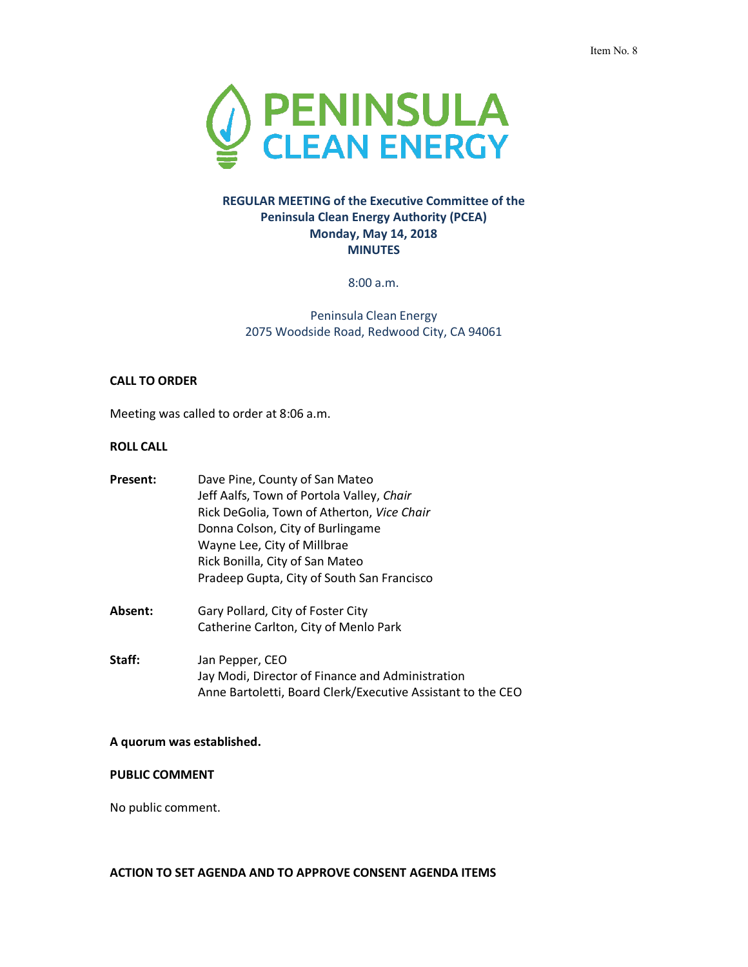

# **REGULAR MEETING of the Executive Committee of the Peninsula Clean Energy Authority (PCEA) Monday, May 14, 2018 MINUTES**

8:00 a.m.

Peninsula Clean Energy 2075 Woodside Road, Redwood City, CA 94061

### **CALL TO ORDER**

Meeting was called to order at 8:06 a.m.

# **ROLL CALL**

| Present: | Dave Pine, County of San Mateo<br>Jeff Aalfs, Town of Portola Valley, Chair<br>Rick DeGolia, Town of Atherton, Vice Chair<br>Donna Colson, City of Burlingame<br>Wayne Lee, City of Millbrae<br>Rick Bonilla, City of San Mateo<br>Pradeep Gupta, City of South San Francisco |
|----------|-------------------------------------------------------------------------------------------------------------------------------------------------------------------------------------------------------------------------------------------------------------------------------|
| Absent:  | Gary Pollard, City of Foster City<br>Catherine Carlton, City of Menlo Park                                                                                                                                                                                                    |
| Staff:   | Jan Pepper, CEO<br>Jay Modi, Director of Finance and Administration<br>Anne Bartoletti, Board Clerk/Executive Assistant to the CEO                                                                                                                                            |

## **A quorum was established.**

# **PUBLIC COMMENT**

No public comment.

## **ACTION TO SET AGENDA AND TO APPROVE CONSENT AGENDA ITEMS**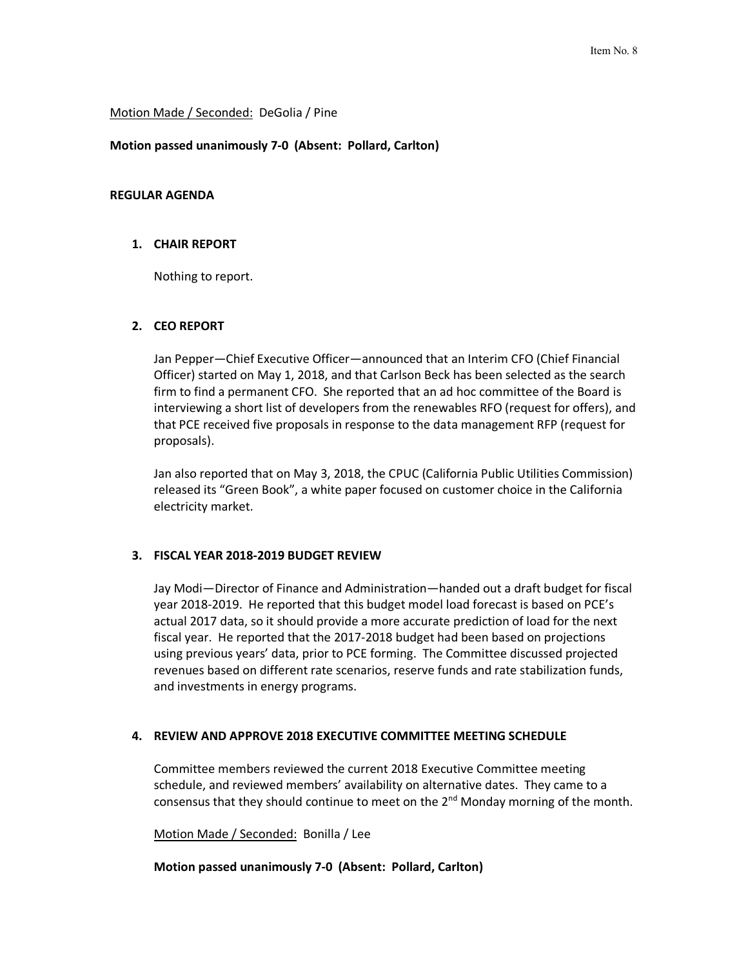### Motion Made / Seconded: DeGolia / Pine

### **Motion passed unanimously 7-0 (Absent: Pollard, Carlton)**

## **REGULAR AGENDA**

### **1. CHAIR REPORT**

Nothing to report.

### **2. CEO REPORT**

Jan Pepper—Chief Executive Officer—announced that an Interim CFO (Chief Financial Officer) started on May 1, 2018, and that Carlson Beck has been selected as the search firm to find a permanent CFO. She reported that an ad hoc committee of the Board is interviewing a short list of developers from the renewables RFO (request for offers), and that PCE received five proposals in response to the data management RFP (request for proposals).

Jan also reported that on May 3, 2018, the CPUC (California Public Utilities Commission) released its "Green Book", a white paper focused on customer choice in the California electricity market.

## **3. FISCAL YEAR 2018-2019 BUDGET REVIEW**

Jay Modi—Director of Finance and Administration—handed out a draft budget for fiscal year 2018-2019. He reported that this budget model load forecast is based on PCE's actual 2017 data, so it should provide a more accurate prediction of load for the next fiscal year. He reported that the 2017-2018 budget had been based on projections using previous years' data, prior to PCE forming. The Committee discussed projected revenues based on different rate scenarios, reserve funds and rate stabilization funds, and investments in energy programs.

### **4. REVIEW AND APPROVE 2018 EXECUTIVE COMMITTEE MEETING SCHEDULE**

Committee members reviewed the current 2018 Executive Committee meeting schedule, and reviewed members' availability on alternative dates. They came to a consensus that they should continue to meet on the  $2<sup>nd</sup>$  Monday morning of the month.

Motion Made / Seconded: Bonilla / Lee

**Motion passed unanimously 7-0 (Absent: Pollard, Carlton)**